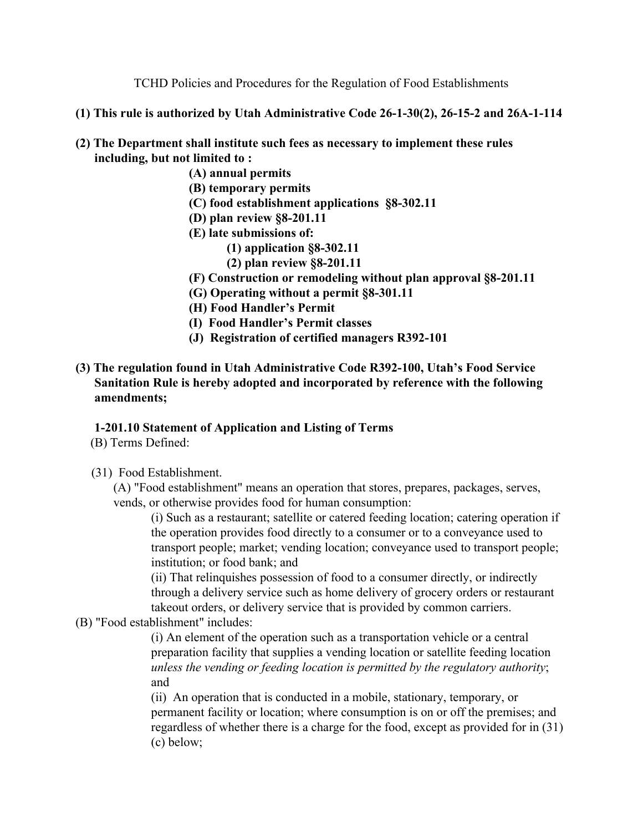TCHD Policies and Procedures for the Regulation of Food Establishments

- **(1) This rule is authorized by Utah Administrative Code 26-1-30(2), 26-15-2 and 26A-1-114**
- **(2) The Department shall institute such fees as necessary to implement these rules including, but not limited to :**
	- **(A) annual permits**
	- **(B) temporary permits**
	- **(C) food establishment applications §8-302.11**
	- **(D) plan review §8-201.11**
	- **(E) late submissions of:**
		- **(1) application §8-302.11**
		- **(2) plan review §8-201.11**
	- **(F) Construction or remodeling without plan approval §8-201.11**
	- **(G) Operating without a permit §8-301.11**
	- **(H) Food Handler's Permit**
	- **(I) Food Handler's Permit classes**
	- **(J) Registration of certified managers R392-101**

# **(3) The regulation found in Utah Administrative Code R392-100, Utah's Food Service Sanitation Rule is hereby adopted and incorporated by reference with the following amendments;**

## **1-201.10 Statement of Application and Listing of Terms**

- (B) Terms Defined:
- (31) Food Establishment.

(A) "Food establishment" means an operation that stores, prepares, packages, serves, vends, or otherwise provides food for human consumption:

(i) Such as a restaurant; satellite or catered feeding location; catering operation if the operation provides food directly to a consumer or to a conveyance used to transport people; market; vending location; conveyance used to transport people; institution; or food bank; and

(ii) That relinquishes possession of food to a consumer directly, or indirectly through a delivery service such as home delivery of grocery orders or restaurant takeout orders, or delivery service that is provided by common carriers.

(B) "Food establishment" includes:

(i) An element of the operation such as a transportation vehicle or a central preparation facility that supplies a vending location or satellite feeding location *unless the vending or feeding location is permitted by the regulatory authority*; and

(ii) An operation that is conducted in a mobile, stationary, temporary, or permanent facility or location; where consumption is on or off the premises; and regardless of whether there is a charge for the food, except as provided for in (31) (c) below;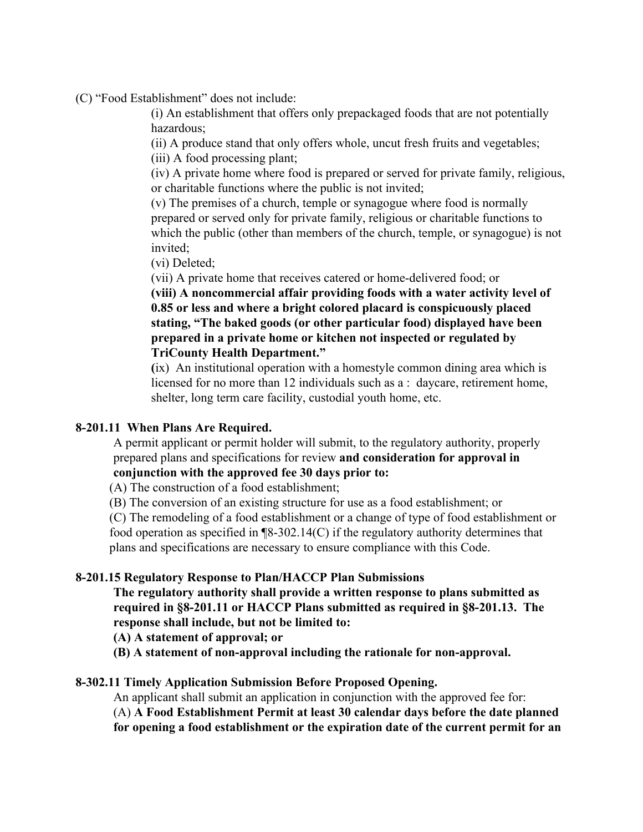(C) "Food Establishment" does not include:

(i) An establishment that offers only prepackaged foods that are not potentially hazardous;

(ii) A produce stand that only offers whole, uncut fresh fruits and vegetables;

(iii) A food processing plant;

(iv) A private home where food is prepared or served for private family, religious, or charitable functions where the public is not invited;

(v) The premises of a church, temple or synagogue where food is normally prepared or served only for private family, religious or charitable functions to which the public (other than members of the church, temple, or synagogue) is not invited;

(vi) Deleted;

(vii) A private home that receives catered or home-delivered food; or

**(viii) A noncommercial affair providing foods with a water activity level of 0.85 or less and where a bright colored placard is conspicuously placed stating, "The baked goods (or other particular food) displayed have been prepared in a private home or kitchen not inspected or regulated by TriCounty Health Department."**

**(**ix) An institutional operation with a homestyle common dining area which is licensed for no more than 12 individuals such as a : daycare, retirement home, shelter, long term care facility, custodial youth home, etc.

## **8-201.11 When Plans Are Required.**

A permit applicant or permit holder will submit, to the regulatory authority, properly prepared plans and specifications for review **and consideration for approval in conjunction with the approved fee 30 days prior to:**

(A) The construction of a food establishment;

(B) The conversion of an existing structure for use as a food establishment; or

(C) The remodeling of a food establishment or a change of type of food establishment or food operation as specified in ¶8-302.14(C) if the regulatory authority determines that plans and specifications are necessary to ensure compliance with this Code.

## **8-201.15 Regulatory Response to Plan/HACCP Plan Submissions**

**The regulatory authority shall provide a written response to plans submitted as required in §8-201.11 or HACCP Plans submitted as required in §8-201.13. The response shall include, but not be limited to:**

**(A) A statement of approval; or**

**(B) A statement of non-approval including the rationale for non-approval.**

## **8-302.11 Timely Application Submission Before Proposed Opening.**

An applicant shall submit an application in conjunction with the approved fee for:

(A) **A Food Establishment Permit at least 30 calendar days before the date planned**

**for opening a food establishment or the expiration date of the current permit for an**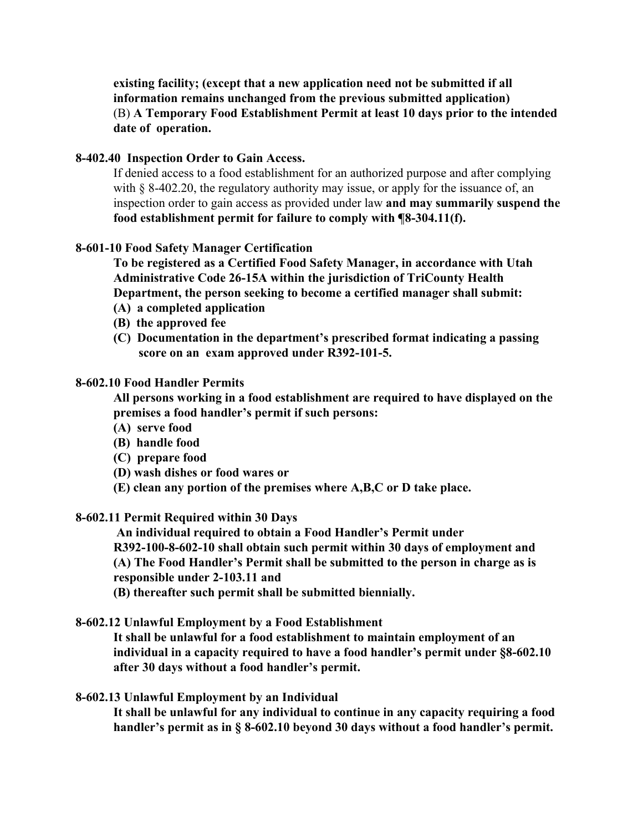**existing facility; (except that a new application need not be submitted if all information remains unchanged from the previous submitted application)** (B) **A Temporary Food Establishment Permit at least 10 days prior to the intended date of operation.**

### **8-402.40 Inspection Order to Gain Access.**

If denied access to a food establishment for an authorized purpose and after complying with § 8-402.20, the regulatory authority may issue, or apply for the issuance of, an inspection order to gain access as provided under law **and may summarily suspend the food establishment permit for failure to comply with ¶8-304.11(f).**

### **8-601-10 Food Safety Manager Certification**

**To be registered as a Certified Food Safety Manager, in accordance with Utah Administrative Code 26-15A within the jurisdiction of TriCounty Health Department, the person seeking to become a certified manager shall submit:**

- **(A) a completed application**
- **(B) the approved fee**
- **(C) Documentation in the department's prescribed format indicating a passing score on an exam approved under R392-101-5.**

#### **8-602.10 Food Handler Permits**

**All persons working in a food establishment are required to have displayed on the premises a food handler's permit if such persons:**

- **(A) serve food**
- **(B) handle food**
- **(C) prepare food**
- **(D) wash dishes or food wares or**
- **(E) clean any portion of the premises where A,B,C or D take place.**

#### **8-602.11 Permit Required within 30 Days**

 **An individual required to obtain a Food Handler's Permit under R392-100-8-602-10 shall obtain such permit within 30 days of employment and (A) The Food Handler's Permit shall be submitted to the person in charge as is responsible under 2-103.11 and**

**(B) thereafter such permit shall be submitted biennially.**

**8-602.12 Unlawful Employment by a Food Establishment**

**It shall be unlawful for a food establishment to maintain employment of an individual in a capacity required to have a food handler's permit under §8-602.10 after 30 days without a food handler's permit.**

#### **8-602.13 Unlawful Employment by an Individual**

**It shall be unlawful for any individual to continue in any capacity requiring a food handler's permit as in § 8-602.10 beyond 30 days without a food handler's permit.**